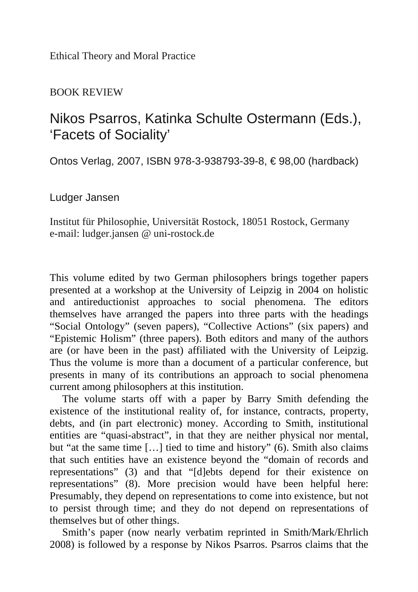Ethical Theory and Moral Practice

## BOOK REVIEW

## Nikos Psarros, Katinka Schulte Ostermann (Eds.), 'Facets of Sociality'

Ontos Verlag, 2007, ISBN 978-3-938793-39-8, € 98,00 (hardback)

Ludger Jansen

Institut für Philosophie, Universität Rostock, 18051 Rostock, Germany e-mail: ludger.jansen @ uni-rostock.de

This volume edited by two German philosophers brings together papers presented at a workshop at the University of Leipzig in 2004 on holistic and antireductionist approaches to social phenomena. The editors themselves have arranged the papers into three parts with the headings "Social Ontology" (seven papers), "Collective Actions" (six papers) and "Epistemic Holism" (three papers). Both editors and many of the authors are (or have been in the past) affiliated with the University of Leipzig. Thus the volume is more than a document of a particular conference, but presents in many of its contributions an approach to social phenomena current among philosophers at this institution.

The volume starts off with a paper by Barry Smith defending the existence of the institutional reality of, for instance, contracts, property, debts, and (in part electronic) money. According to Smith, institutional entities are "quasi-abstract", in that they are neither physical nor mental, but "at the same time […] tied to time and history" (6). Smith also claims that such entities have an existence beyond the "domain of records and representations" (3) and that "[d]ebts depend for their existence on representations" (8). More precision would have been helpful here: Presumably, they depend on representations to come into existence, but not to persist through time; and they do not depend on representations of themselves but of other things.

Smith's paper (now nearly verbatim reprinted in Smith/Mark/Ehrlich 2008) is followed by a response by Nikos Psarros. Psarros claims that the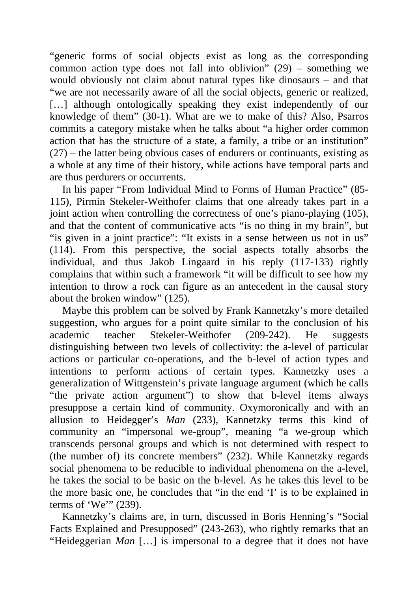"generic forms of social objects exist as long as the corresponding common action type does not fall into oblivion" (29) – something we would obviously not claim about natural types like dinosaurs – and that "we are not necessarily aware of all the social objects, generic or realized, [...] although ontologically speaking they exist independently of our knowledge of them" (30-1). What are we to make of this? Also, Psarros commits a category mistake when he talks about "a higher order common action that has the structure of a state, a family, a tribe or an institution" (27) – the latter being obvious cases of endurers or continuants, existing as a whole at any time of their history, while actions have temporal parts and are thus perdurers or occurrents.

In his paper "From Individual Mind to Forms of Human Practice" (85- 115), Pirmin Stekeler-Weithofer claims that one already takes part in a joint action when controlling the correctness of one's piano-playing (105), and that the content of communicative acts "is no thing in my brain", but "is given in a joint practice": "It exists in a sense between us not in us" (114). From this perspective, the social aspects totally absorbs the individual, and thus Jakob Lingaard in his reply (117-133) rightly complains that within such a framework "it will be difficult to see how my intention to throw a rock can figure as an antecedent in the causal story about the broken window" (125).

Maybe this problem can be solved by Frank Kannetzky's more detailed suggestion, who argues for a point quite similar to the conclusion of his academic teacher Stekeler-Weithofer (209-242). He suggests distinguishing between two levels of collectivity: the a-level of particular actions or particular co-operations, and the b-level of action types and intentions to perform actions of certain types. Kannetzky uses a generalization of Wittgenstein's private language argument (which he calls "the private action argument") to show that b-level items always presuppose a certain kind of community. Oxymoronically and with an allusion to Heidegger's *Man* (233), Kannetzky terms this kind of community an "impersonal we-group", meaning "a we-group which transcends personal groups and which is not determined with respect to (the number of) its concrete members" (232). While Kannetzky regards social phenomena to be reducible to individual phenomena on the a-level, he takes the social to be basic on the b-level. As he takes this level to be the more basic one, he concludes that "in the end 'I' is to be explained in terms of 'We'" (239).

Kannetzky's claims are, in turn, discussed in Boris Henning's "Social Facts Explained and Presupposed" (243-263), who rightly remarks that an "Heideggerian *Man* […] is impersonal to a degree that it does not have